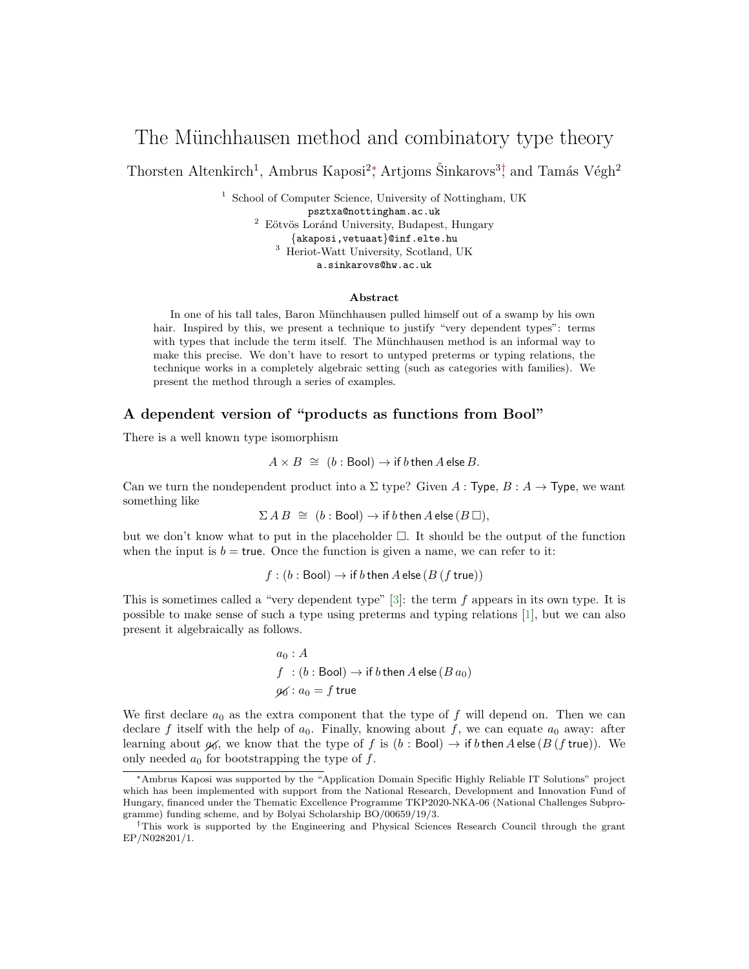# The Münchhausen method and combinatory type theory

Thorsten Altenkirch<sup>1</sup>, Ambrus Kaposi<sup>2</sup><sup>\*</sup>, Artjoms Šinkarovs<sup>3†</sup>, and Tamás Végh<sup>2</sup>

<sup>1</sup> School of Computer Science, University of Nottingham, UK psztxa@nottingham.ac.uk  $^2$  Eötvös Loránd University, Budapest, Hungary {akaposi,vetuaat}@inf.elte.hu <sup>3</sup> Heriot-Watt University, Scotland, UK a.sinkarovs@hw.ac.uk

### Abstract

In one of his tall tales, Baron Münchhausen pulled himself out of a swamp by his own hair. Inspired by this, we present a technique to justify "very dependent types": terms with types that include the term itself. The Münchhausen method is an informal way to make this precise. We don't have to resort to untyped preterms or typing relations, the technique works in a completely algebraic setting (such as categories with families). We present the method through a series of examples.

### A dependent version of "products as functions from Bool"

There is a well known type isomorphism

$$
A \times B \cong (b : \text{Bool}) \to \text{if } b \text{ then } A \text{ else } B.
$$

Can we turn the nondependent product into a  $\Sigma$  type? Given A : Type, B : A  $\rightarrow$  Type, we want something like

 $\Sigma AB \cong (b : \text{Bool}) \rightarrow \text{if } b \text{ then } A \text{ else } (B \Box),$ 

but we don't know what to put in the placeholder  $\Box$ . It should be the output of the function when the input is  $b = \text{true}$ . Once the function is given a name, we can refer to it:

 $f : (b : \text{Bool}) \to \text{if } b \text{ then } A \text{ else } (B \text{ ( } f \text{ true}))$ 

This is sometimes called a "very dependent type"  $[3]$ : the term f appears in its own type. It is possible to make sense of such a type using preterms and typing relations [\[1\]](#page-2-1), but we can also present it algebraically as follows.

> $a_0 : A$  $f : (b : \text{Bool}) \to \text{if } b \text{ then } A \text{ else } (B \, a_0)$  $q_0$ :  $a_0 = f$  true

We first declare  $a_0$  as the extra component that the type of f will depend on. Then we can declare f itself with the help of  $a_0$ . Finally, knowing about f, we can equate  $a_0$  away: after learning about  $\mathfrak{g}_0$ , we know that the type of f is (b : Bool)  $\rightarrow$  if b then A else (B (f true)). We only needed  $a_0$  for bootstrapping the type of f.

<sup>∗</sup>Ambrus Kaposi was supported by the "Application Domain Specific Highly Reliable IT Solutions" project which has been implemented with support from the National Research, Development and Innovation Fund of Hungary, financed under the Thematic Excellence Programme TKP2020-NKA-06 (National Challenges Subprogramme) funding scheme, and by Bolyai Scholarship BO/00659/19/3.

<sup>†</sup>This work is supported by the Engineering and Physical Sciences Research Council through the grant EP/N028201/1.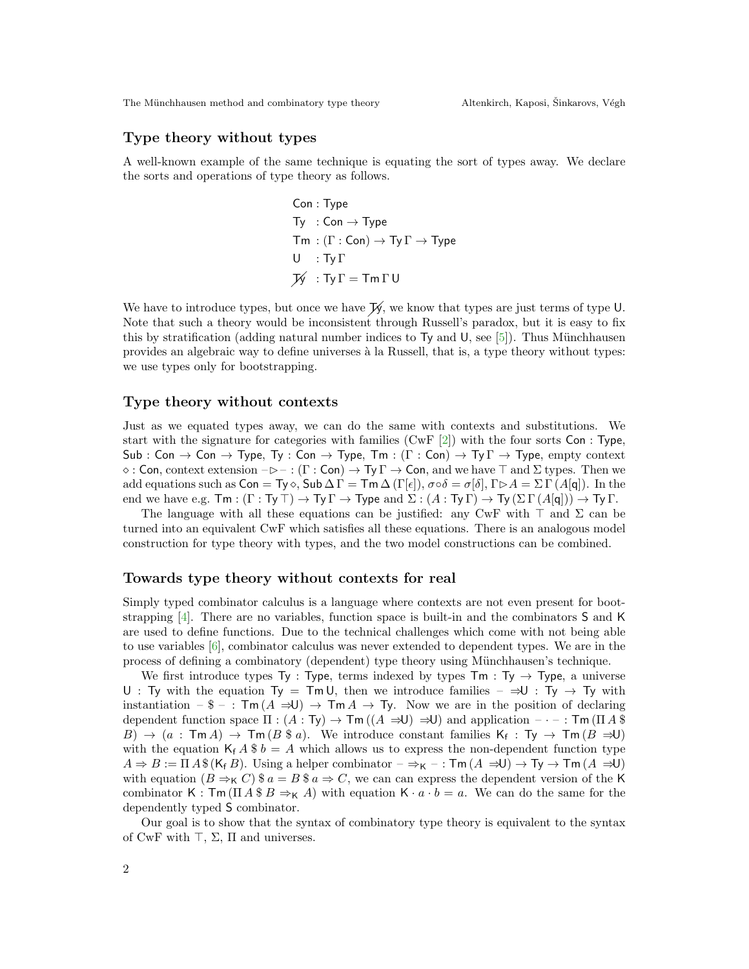# Type theory without types

A well-known example of the same technique is equating the sort of types away. We declare the sorts and operations of type theory as follows.

$$
\begin{aligned} &\mathsf{Con}:\mathsf{Type} \\ &\mathsf{Ty}~: \mathsf{Con} \rightarrow \mathsf{Type} \\ &\mathsf{Tm}:(\Gamma:\mathsf{Con}) \rightarrow \mathsf{Ty}\,\Gamma \rightarrow \mathsf{Type} \\ &\mathsf{U}~: \mathsf{Ty}\,\Gamma \\ &\mathcal{W}~: \mathsf{Ty}\,\Gamma = \mathsf{Tm}\,\Gamma\,\mathsf{U} \end{aligned}
$$

We have to introduce types, but once we have  $\mathcal{Y}_y$ , we know that types are just terms of type U. Note that such a theory would be inconsistent through Russell's paradox, but it is easy to fix this by stratification (adding natural number indices to  $Ty$  and  $U$ , see [\[5\]](#page-2-2)). Thus Münchhausen provides an algebraic way to define universes à la Russell, that is, a type theory without types: we use types only for bootstrapping.

## Type theory without contexts

Just as we equated types away, we can do the same with contexts and substitutions. We start with the signature for categories with families  $(CwF [2])$  $(CwF [2])$  $(CwF [2])$  with the four sorts Con : Type, Sub : Con  $\rightarrow$  Con  $\rightarrow$  Type, Ty : Con  $\rightarrow$  Type, Tm : (Γ : Con)  $\rightarrow$  Ty  $\Gamma \rightarrow$  Type, empty context  $\diamond$ : Con, context extension  $-\triangleright -$ : (Γ: Con)  $\rightarrow$  Ty  $\Gamma \rightarrow$  Con, and we have  $\top$  and  $\Sigma$  types. Then we add equations such as  $Con = Ty \circ$ ,  $Sub \Delta \Gamma = \text{Im} \Delta (\Gamma[\epsilon]), \sigma \circ \delta = \sigma[\delta], \Gamma \triangleright A = \Sigma \Gamma (A[\mathbf{q}]).$  In the end we have e.g.  $\textsf{Tm} : (\Gamma : \textsf{Ty} \top) \to \textsf{Ty} \Gamma \to \textsf{Type}$  and  $\Sigma : (A : \textsf{Ty} \Gamma) \to \textsf{Ty} (\Sigma \Gamma (A[\mathfrak{q}])) \to \textsf{Ty} \Gamma$ .

The language with all these equations can be justified: any CwF with  $\top$  and  $\Sigma$  can be turned into an equivalent CwF which satisfies all these equations. There is an analogous model construction for type theory with types, and the two model constructions can be combined.

#### Towards type theory without contexts for real

Simply typed combinator calculus is a language where contexts are not even present for bootstrapping [\[4\]](#page-2-4). There are no variables, function space is built-in and the combinators S and K are used to define functions. Due to the technical challenges which come with not being able to use variables [\[6\]](#page-2-5), combinator calculus was never extended to dependent types. We are in the process of defining a combinatory (dependent) type theory using M¨unchhausen's technique.

We first introduce types Ty : Type, terms indexed by types  $\text{Tm} : \text{Ty} \rightarrow \text{Type}$ , a universe U : Ty with the equation Ty = Tm U, then we introduce families –  $\Rightarrow$ U : Ty  $\rightarrow$  Ty with instantiation –  $\phi - : \text{Im}(A \Rightarrow U) \rightarrow \text{Im}(A \rightarrow Y)$ . Now we are in the position of declaring dependent function space  $\Pi : (A : Ty) \to \text{Tm}((A \Rightarrow U) \Rightarrow U)$  and application  $-\cdot - : \text{Tm}(\Pi A \$  $B) \rightarrow (a : \textsf{Trn}\,A) \rightarrow \textsf{Trn}\,(B \, \text{\$} a)$ . We introduce constant families  $\mathsf{K}_{\mathsf{f}} : \textsf{Ty} \rightarrow \textsf{Trn}\,(B \, \Rightarrow \textsf{U})$ with the equation  $K_f A \$   $b = A$  which allows us to express the non-dependent function type  $A \Rightarrow B := \Pi A \$ (K<sub>f</sub> B). Using a helper combinator  $-\Rightarrow_{\mathsf{K}}$  – :  $\mathsf{Tm}(A \Rightarrow U) \rightarrow \mathsf{Ty} \rightarrow \mathsf{Tm}(A \Rightarrow U)$ with equation  $(B \Rightarrow_K C)$  \$  $a = B$  \$  $a \Rightarrow C$ , we can can express the dependent version of the K combinator K : Tm ( $\Pi A \$  B  $\Rightarrow$  K A) with equation K  $\cdot a \cdot b = a$ . We can do the same for the dependently typed S combinator.

Our goal is to show that the syntax of combinatory type theory is equivalent to the syntax of CwF with  $\top$ ,  $\Sigma$ ,  $\Pi$  and universes.